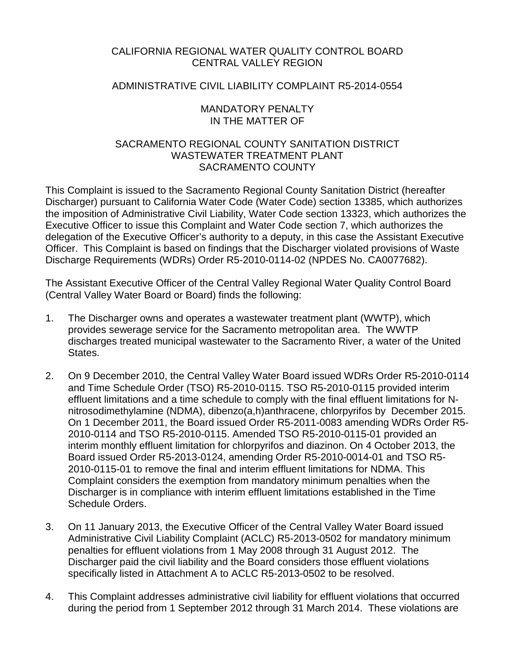# CALIFORNIA REGIONAL WATER QUALITY CONTROL BOARD CENTRAL VALLEY REGION

## ADMINISTRATIVE CIVIL LIABILITY COMPLAINT R5-2014-0554

## MANDATORY PENALTY IN THE MATTER OF

# SACRAMENTO REGIONAL COUNTY SANITATION DISTRICT WASTEWATER TREATMENT PI ANT SACRAMENTO COUNTY

This Complaint is issued to the Sacramento Regional County Sanitation District (hereafter Discharger) pursuant to California Water Code (Water Code) section 13385, which authorizes the imposition of Administrative Civil Liability, Water Code section 13323, which authorizes the Executive Officer to issue this Complaint and Water Code section 7, which authorizes the delegation of the Executive Officer's authority to a deputy, in this case the Assistant Executive Officer. This Complaint is based on findings that the Discharger violated provisions of Waste Discharge Requirements (WDRs) Order R5-2010-0114-02 (NPDES No. CA0077682).

The Assistant Executive Officer of the Central Valley Regional Water Quality Control Board (Central Valley Water Board or Board) finds the following:

- 1. The Discharger owns and operates a wastewater treatment plant (WWTP), which provides sewerage service for the Sacramento metropolitan area. The WWTP discharges treated municipal wastewater to the Sacramento River, a water of the United States.
- 2. On 9 December 2010, the Central Valley Water Board issued WDRs Order R5-2010-0114 and Time Schedule Order (TSO) R5-2010-0115. TSO R5-2010-0115 provided interim effluent limitations and a time schedule to comply with the final effluent limitations for Nnitrosodimethylamine (NDMA), dibenzo(a,h)anthracene, chlorpyrifos by December 2015. On 1 December 2011, the Board issued Order R5-2011-0083 amending WDRs Order R5- 2010-0114 and TSO R5-2010-0115. Amended TSO R5-2010-0115-01 provided an interim monthly effluent limitation for chlorpyrifos and diazinon. On 4 October 2013, the Board issued Order R5-2013-0124, amending Order R5-2010-0014-01 and TSO R5- 2010-0115-01 to remove the final and interim effluent limitations for NDMA. This Complaint considers the exemption from mandatory minimum penalties when the Discharger is in compliance with interim effluent limitations established in the Time Schedule Orders.
- 3. On 11 January 2013, the Executive Officer of the Central Valley Water Board issued Administrative Civil Liability Complaint (ACLC) R5-2013-0502 for mandatory minimum penalties for effluent violations from 1 May 2008 through 31 August 2012. The Discharger paid the civil liability and the Board considers those effluent violations specifically listed in Attachment A to ACLC R5-2013-0502 to be resolved.
- 4. This Complaint addresses administrative civil liability for effluent violations that occurred during the period from 1 September 2012 through 31 March 2014. These violations are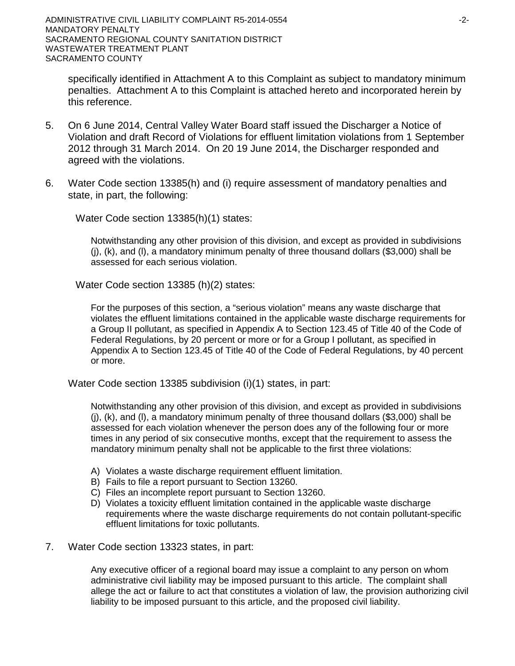specifically identified in Attachment A to this Complaint as subject to mandatory minimum penalties. Attachment A to this Complaint is attached hereto and incorporated herein by this reference.

- 5. On 6 June 2014, Central Valley Water Board staff issued the Discharger a Notice of Violation and draft Record of Violations for effluent limitation violations from 1 September 2012 through 31 March 2014. On 20 19 June 2014, the Discharger responded and agreed with the violations.
- 6. Water Code section 13385(h) and (i) require assessment of mandatory penalties and state, in part, the following:

Water Code section 13385(h)(1) states:

Notwithstanding any other provision of this division, and except as provided in subdivisions  $(i)$ ,  $(k)$ , and  $(l)$ , a mandatory minimum penalty of three thousand dollars (\$3,000) shall be assessed for each serious violation.

Water Code section 13385 (h)(2) states:

For the purposes of this section, a "serious violation" means any waste discharge that violates the effluent limitations contained in the applicable waste discharge requirements for a Group II pollutant, as specified in Appendix A to Section 123.45 of Title 40 of the Code of Federal Regulations, by 20 percent or more or for a Group I pollutant, as specified in Appendix A to Section 123.45 of Title 40 of the Code of Federal Regulations, by 40 percent or more.

Water Code section 13385 subdivision (i)(1) states, in part:

Notwithstanding any other provision of this division, and except as provided in subdivisions (j), (k), and (l), a mandatory minimum penalty of three thousand dollars (\$3,000) shall be assessed for each violation whenever the person does any of the following four or more times in any period of six consecutive months, except that the requirement to assess the mandatory minimum penalty shall not be applicable to the first three violations:

- A) Violates a waste discharge requirement effluent limitation.
- B) Fails to file a report pursuant to Section 13260.
- C) Files an incomplete report pursuant to Section 13260.
- D) Violates a toxicity effluent limitation contained in the applicable waste discharge requirements where the waste discharge requirements do not contain pollutant-specific effluent limitations for toxic pollutants.
- 7. Water Code section 13323 states, in part:

Any executive officer of a regional board may issue a complaint to any person on whom administrative civil liability may be imposed pursuant to this article. The complaint shall allege the act or failure to act that constitutes a violation of law, the provision authorizing civil liability to be imposed pursuant to this article, and the proposed civil liability.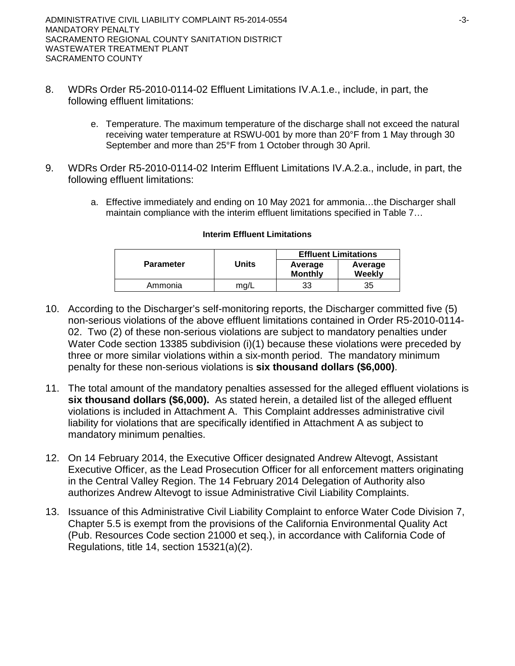- 8. WDRs Order R5-2010-0114-02 Effluent Limitations IV.A.1.e., include, in part, the following effluent limitations:
	- e. Temperature. The maximum temperature of the discharge shall not exceed the natural receiving water temperature at RSWU-001 by more than 20°F from 1 May through 30 September and more than 25°F from 1 October through 30 April.
- 9. WDRs Order R5-2010-0114-02 Interim Effluent Limitations IV.A.2.a., include, in part, the following effluent limitations:
	- a. Effective immediately and ending on 10 May 2021 for ammonia…the Discharger shall maintain compliance with the interim effluent limitations specified in Table 7...

|                  |                                           | <b>Effluent Limitations</b> |                   |  |
|------------------|-------------------------------------------|-----------------------------|-------------------|--|
| <b>Parameter</b> | <b>Units</b><br>Average<br><b>Monthly</b> |                             | Average<br>Weekly |  |
| Ammonia          | mg/L                                      | 33                          | 35                |  |

### **Interim Effluent Limitations**

- 10. According to the Discharger's self-monitoring reports, the Discharger committed five (5) non-serious violations of the above effluent limitations contained in Order R5-2010-0114- 02. Two (2) of these non-serious violations are subject to mandatory penalties under Water Code section 13385 subdivision (i)(1) because these violations were preceded by three or more similar violations within a six-month period. The mandatory minimum penalty for these non-serious violations is **six thousand dollars (\$6,000)**.
- 11. The total amount of the mandatory penalties assessed for the alleged effluent violations is **six thousand dollars (\$6,000).** As stated herein, a detailed list of the alleged effluent violations is included in Attachment A. This Complaint addresses administrative civil liability for violations that are specifically identified in Attachment A as subject to mandatory minimum penalties.
- 12. On 14 February 2014, the Executive Officer designated Andrew Altevogt, Assistant Executive Officer, as the Lead Prosecution Officer for all enforcement matters originating in the Central Valley Region. The 14 February 2014 Delegation of Authority also authorizes Andrew Altevogt to issue Administrative Civil Liability Complaints.
- 13. Issuance of this Administrative Civil Liability Complaint to enforce Water Code Division 7, Chapter 5.5 is exempt from the provisions of the California Environmental Quality Act (Pub. Resources Code section 21000 et seq.), in accordance with California Code of Regulations, title 14, section 15321(a)(2).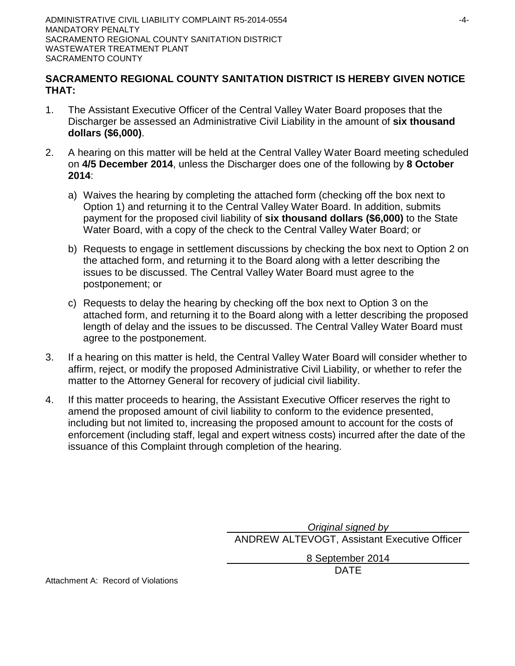# **SACRAMENTO REGIONAL COUNTY SANITATION DISTRICT IS HEREBY GIVEN NOTICE THAT:**

- 1. The Assistant Executive Officer of the Central Valley Water Board proposes that the Discharger be assessed an Administrative Civil Liability in the amount of **six thousand dollars (\$6,000)**.
- 2. A hearing on this matter will be held at the Central Valley Water Board meeting scheduled on **4/5 December 2014**, unless the Discharger does one of the following by **8 October 2014**:
	- a) Waives the hearing by completing the attached form (checking off the box next to Option 1) and returning it to the Central Valley Water Board. In addition, submits payment for the proposed civil liability of **six thousand dollars (\$6,000)** to the State Water Board, with a copy of the check to the Central Valley Water Board; or
	- b) Requests to engage in settlement discussions by checking the box next to Option 2 on the attached form, and returning it to the Board along with a letter describing the issues to be discussed. The Central Valley Water Board must agree to the postponement; or
	- c) Requests to delay the hearing by checking off the box next to Option 3 on the attached form, and returning it to the Board along with a letter describing the proposed length of delay and the issues to be discussed. The Central Valley Water Board must agree to the postponement.
- 3. If a hearing on this matter is held, the Central Valley Water Board will consider whether to affirm, reject, or modify the proposed Administrative Civil Liability, or whether to refer the matter to the Attorney General for recovery of judicial civil liability.
- 4. If this matter proceeds to hearing, the Assistant Executive Officer reserves the right to amend the proposed amount of civil liability to conform to the evidence presented, including but not limited to, increasing the proposed amount to account for the costs of enforcement (including staff, legal and expert witness costs) incurred after the date of the issuance of this Complaint through completion of the hearing.

*Original signed by* ANDREW ALTEVOGT, Assistant Executive Officer

> 8 September 2014 DATE

Attachment A: Record of Violations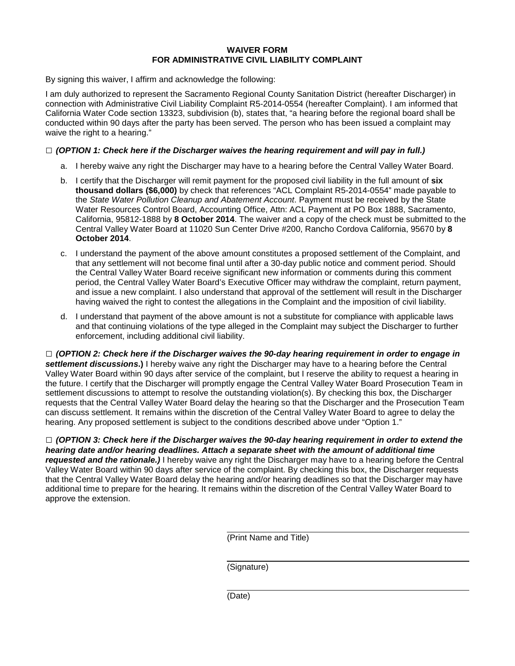#### **WAIVER FORM FOR ADMINISTRATIVE CIVIL LIABILITY COMPLAINT**

By signing this waiver, I affirm and acknowledge the following:

I am duly authorized to represent the Sacramento Regional County Sanitation District (hereafter Discharger) in connection with Administrative Civil Liability Complaint R5-2014-0554 (hereafter Complaint). I am informed that California Water Code section 13323, subdivision (b), states that, "a hearing before the regional board shall be conducted within 90 days after the party has been served. The person who has been issued a complaint may waive the right to a hearing."

#### **□** *(OPTION 1: Check here if the Discharger waives the hearing requirement and will pay in full.)*

- a. I hereby waive any right the Discharger may have to a hearing before the Central Valley Water Board.
- b. I certify that the Discharger will remit payment for the proposed civil liability in the full amount of **six thousand dollars (\$6,000)** by check that references "ACL Complaint R5-2014-0554" made payable to the *State Water Pollution Cleanup and Abatement Account*. Payment must be received by the State Water Resources Control Board, Accounting Office, Attn: ACL Payment at PO Box 1888, Sacramento, California, 95812-1888 by **8 October 2014**. The waiver and a copy of the check must be submitted to the Central Valley Water Board at 11020 Sun Center Drive #200, Rancho Cordova California, 95670 by **8 October 2014**.
- c. I understand the payment of the above amount constitutes a proposed settlement of the Complaint, and that any settlement will not become final until after a 30-day public notice and comment period. Should the Central Valley Water Board receive significant new information or comments during this comment period, the Central Valley Water Board's Executive Officer may withdraw the complaint, return payment, and issue a new complaint. I also understand that approval of the settlement will result in the Discharger having waived the right to contest the allegations in the Complaint and the imposition of civil liability.
- d. I understand that payment of the above amount is not a substitute for compliance with applicable laws and that continuing violations of the type alleged in the Complaint may subject the Discharger to further enforcement, including additional civil liability.

**□** *(OPTION 2: Check here if the Discharger waives the 90-day hearing requirement in order to engage in settlement discussions***.)** I hereby waive any right the Discharger may have to a hearing before the Central Valley Water Board within 90 days after service of the complaint, but I reserve the ability to request a hearing in the future. I certify that the Discharger will promptly engage the Central Valley Water Board Prosecution Team in settlement discussions to attempt to resolve the outstanding violation(s). By checking this box, the Discharger requests that the Central Valley Water Board delay the hearing so that the Discharger and the Prosecution Team can discuss settlement. It remains within the discretion of the Central Valley Water Board to agree to delay the hearing. Any proposed settlement is subject to the conditions described above under "Option 1."

**□** *(OPTION 3: Check here if the Discharger waives the 90-day hearing requirement in order to extend the hearing date and/or hearing deadlines. Attach a separate sheet with the amount of additional time requested and the rationale.)* I hereby waive any right the Discharger may have to a hearing before the Central Valley Water Board within 90 days after service of the complaint. By checking this box, the Discharger requests that the Central Valley Water Board delay the hearing and/or hearing deadlines so that the Discharger may have additional time to prepare for the hearing. It remains within the discretion of the Central Valley Water Board to approve the extension.

(Print Name and Title)

(Signature)

(Date)